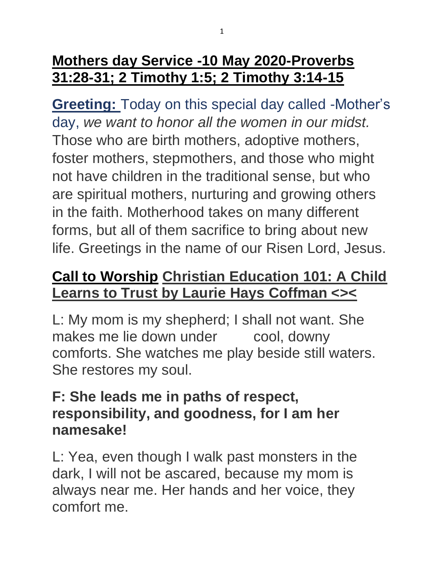### **Mothers day Service -10 May 2020-Proverbs 31:28-31; 2 Timothy 1:5; 2 Timothy 3:14-15**

**Greeting:** Today on this special day called -Mother's day, *we want to honor all the women in our midst.*  Those who are birth mothers, adoptive mothers, foster mothers, stepmothers, and those who might not have children in the traditional sense, but who are spiritual mothers, nurturing and growing others in the faith. Motherhood takes on many different forms, but all of them sacrifice to bring about new life. Greetings in the name of our Risen Lord, Jesus.

#### **Call to Worship Christian Education 101: A Child Learns to Trust by Laurie Hays Coffman <><**

L: My mom is my shepherd; I shall not want. She makes me lie down under cool, downy comforts. She watches me play beside still waters. She restores my soul.

#### **F: She leads me in paths of respect, responsibility, and goodness, for I am her namesake!**

L: Yea, even though I walk past monsters in the dark, I will not be ascared, because my mom is always near me. Her hands and her voice, they comfort me.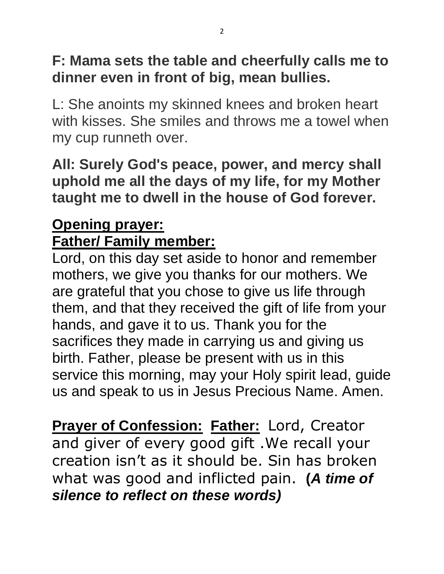### **F: Mama sets the table and cheerfully calls me to dinner even in front of big, mean bullies.**

L: She anoints my skinned knees and broken heart with kisses. She smiles and throws me a towel when my cup runneth over.

**All: Surely God's peace, power, and mercy shall uphold me all the days of my life, for my Mother taught me to dwell in the house of God forever.**

### **Opening prayer: Father/ Family member:**

Lord, on this day set aside to honor and remember mothers, we give you thanks for our mothers. We are grateful that you chose to give us life through them, and that they received the gift of life from your hands, and gave it to us. Thank you for the sacrifices they made in carrying us and giving us birth. Father, please be present with us in this service this morning, may your Holy spirit lead, guide us and speak to us in Jesus Precious Name. Amen.

**Prayer of Confession: Father:** Lord, Creator and giver of every good gift .We recall your creation isn't as it should be. Sin has broken what was good and inflicted pain. **(***A time of silence to reflect on these words)*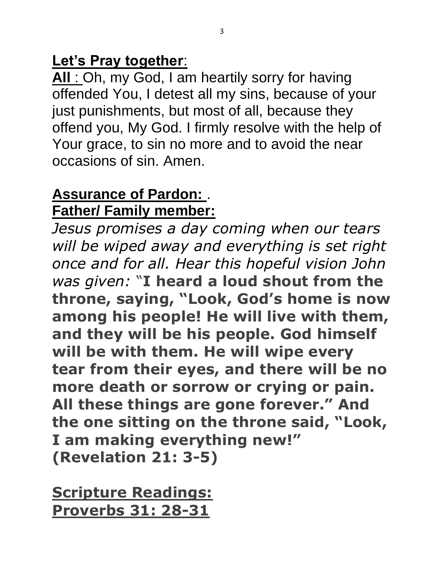#### **Let's Pray together**:

**All** : Oh, my God, I am heartily sorry for having offended You, I detest all my sins, because of your just punishments, but most of all, because they offend you, My God. I firmly resolve with the help of Your grace, to sin no more and to avoid the near occasions of sin. Amen.

#### **Assurance of Pardon:** . **Father/ Family member:**

*Jesus promises a day coming when our tears will be wiped away and everything is set right once and for all. Hear this hopeful vision John was given:* "**I heard a loud shout from the throne, saying, "Look, God's home is now among his people! He will live with them, and they will be his people. God himself will be with them. He will wipe every tear from their eyes, and there will be no more death or sorrow or crying or pain. All these things are gone forever." And the one sitting on the throne said, "Look, I am making everything new!" (Revelation 21: 3-5)**

**Scripture Readings: Proverbs 31: 28-31**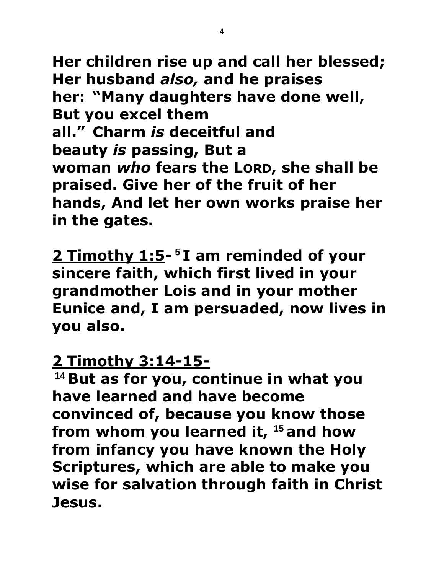**Her children rise up and call her blessed; Her husband** *also,* **and he praises her: "Many daughters have done well, But you excel them all." Charm** *is* **deceitful and beauty** *is* **passing, But a woman** *who* fears the LORD, she shall be **praised. Give her of the fruit of her hands, And let her own works praise her in the gates.**

**2 Timothy 1:5- <sup>5</sup> I am reminded of your sincere faith, which first lived in your grandmother Lois and in your mother Eunice and, I am persuaded, now lives in you also.**

#### **2 Timothy 3:14-15-**

**<sup>14</sup> But as for you, continue in what you have learned and have become convinced of, because you know those from whom you learned it, <sup>15</sup> and how from infancy you have known the Holy Scriptures, which are able to make you wise for salvation through faith in Christ Jesus.**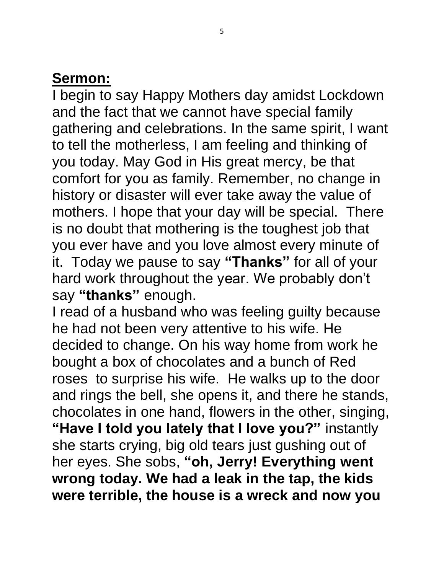#### **Sermon:**

I begin to say Happy Mothers day amidst Lockdown and the fact that we cannot have special family gathering and celebrations. In the same spirit, I want to tell the motherless, I am feeling and thinking of you today. May God in His great mercy, be that comfort for you as family. Remember, no change in history or disaster will ever take away the value of mothers. I hope that your day will be special. There is no doubt that mothering is the toughest job that you ever have and you love almost every minute of it. Today we pause to say **"Thanks"** for all of your hard work throughout the year. We probably don't say **"thanks"** enough.

I read of a husband who was feeling guilty because he had not been very attentive to his wife. He decided to change. On his way home from work he bought a box of chocolates and a bunch of Red roses to surprise his wife. He walks up to the door and rings the bell, she opens it, and there he stands, chocolates in one hand, flowers in the other, singing, **"Have I told you lately that I love you?"** instantly she starts crying, big old tears just gushing out of her eyes. She sobs, **"oh, Jerry! Everything went wrong today. We had a leak in the tap, the kids were terrible, the house is a wreck and now you**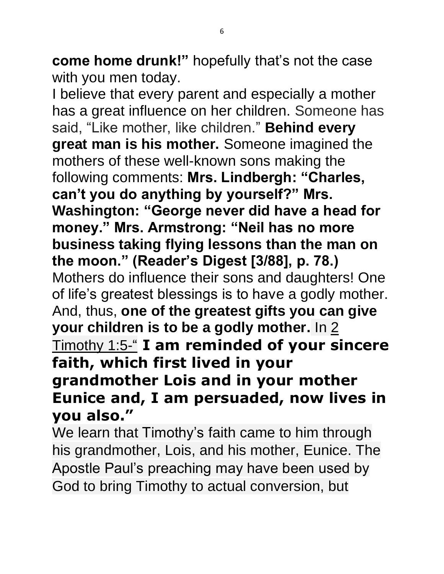**come home drunk!"** hopefully that's not the case with you men today.

I believe that every parent and especially a mother has a great influence on her children. Someone has said, "Like mother, like children." **Behind every great man is his mother.** Someone imagined the mothers of these well-known sons making the following comments: **Mrs. Lindbergh: "Charles, can't you do anything by yourself?" Mrs. Washington: "George never did have a head for money." Mrs. Armstrong: "Neil has no more business taking flying lessons than the man on the moon." (Reader's Digest [3/88], p. 78.)** Mothers do influence their sons and daughters! One of life's greatest blessings is to have a godly mother. And, thus, **one of the greatest gifts you can give your children is to be a godly mother.** In [2](javascript:%7b%7d) [Timothy](javascript:%7b%7d) 1:5-" **I am reminded of your sincere faith, which first lived in your grandmother Lois and in your mother Eunice and, I am persuaded, now lives in you also."**

We learn that Timothy's faith came to him through his grandmother, Lois, and his mother, Eunice. The Apostle Paul's preaching may have been used by God to bring Timothy to actual conversion, but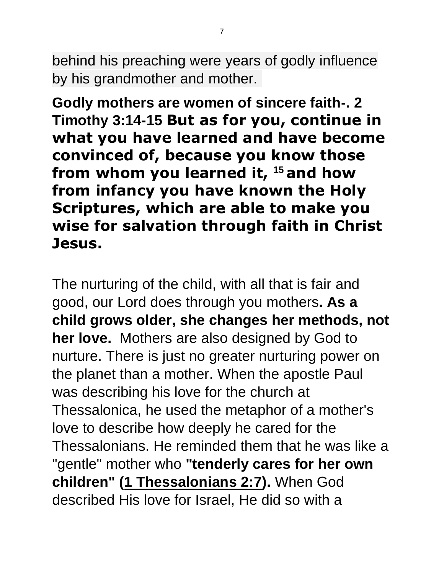behind his preaching were years of godly influence by his grandmother and mother.

**Godly mothers are women of sincere faith-. 2 Timothy 3:14-15 But as for you, continue in what you have learned and have become convinced of, because you know those from whom you learned it, <sup>15</sup> and how from infancy you have known the Holy Scriptures, which are able to make you wise for salvation through faith in Christ Jesus.**

The nurturing of the child, with all that is fair and good, our Lord does through you mothers**. As a child grows older, she changes her methods, not her love.** Mothers are also designed by God to nurture. There is just no greater nurturing power on the planet than a mother. When the apostle Paul was describing his love for the church at Thessalonica, he used the metaphor of a mother's love to describe how deeply he cared for the Thessalonians. He reminded them that he was like a "gentle" mother who **"tenderly cares for her own children" [\(1 Thessalonians 2:7\)](http://www.biblestudytools.com/search/?t=niv&q=1th+2:7).** When God described His love for Israel, He did so with a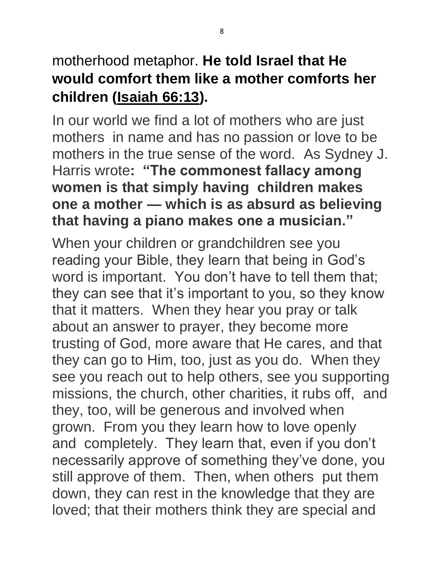### motherhood metaphor. **He told Israel that He would comfort them like a mother comforts her children [\(Isaiah 66:13\)](http://www.biblestudytools.com/search/?t=niv&q=isa+66:13).**

In our world we find a lot of mothers who are just mothers in name and has no passion or love to be mothers in the true sense of the word. As Sydney J. Harris wrote**: "The commonest fallacy among women is that simply having children makes one a mother — which is as absurd as believing that having a piano makes one a musician."**

When your children or grandchildren see you reading your Bible, they learn that being in God's word is important. You don't have to tell them that; they can see that it's important to you, so they know that it matters. When they hear you pray or talk about an answer to prayer, they become more trusting of God, more aware that He cares, and that they can go to Him, too, just as you do. When they see you reach out to help others, see you supporting missions, the church, other charities, it rubs off, and they, too, will be generous and involved when grown. From you they learn how to love openly and completely. They learn that, even if you don't necessarily approve of something they've done, you still approve of them. Then, when others put them down, they can rest in the knowledge that they are loved; that their mothers think they are special and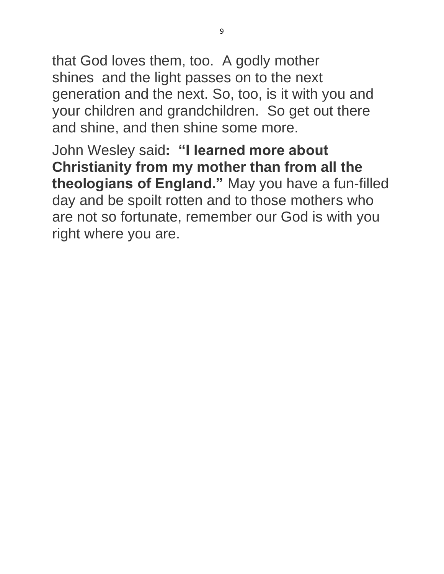that God loves them, too. A godly mother shines and the light passes on to the next generation and the next. So, too, is it with you and your children and grandchildren. So get out there and shine, and then shine some more.

John Wesley said**: "I learned more about Christianity from my mother than from all the theologians of England."** May you have a fun-filled day and be spoilt rotten and to those mothers who are not so fortunate, remember our God is with you right where you are.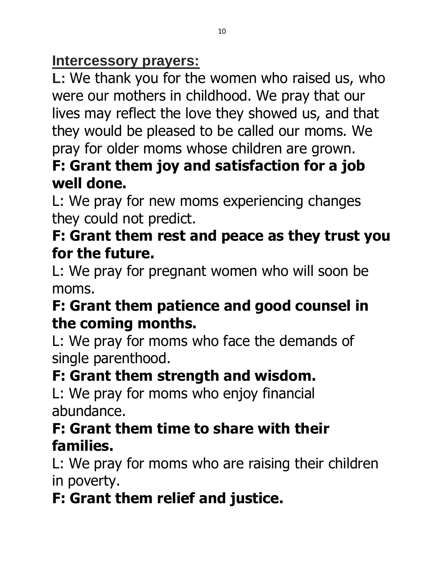#### **Intercessory prayers:**

**L:** We thank you for the women who raised us, who were our mothers in childhood. We pray that our lives may reflect the love they showed us, and that they would be pleased to be called our moms. We pray for older moms whose children are grown.

### **F: Grant them joy and satisfaction for a job well done.**

L: We pray for new moms experiencing changes they could not predict.

### **F: Grant them rest and peace as they trust you for the future.**

L: We pray for pregnant women who will soon be moms.

### **F: Grant them patience and good counsel in the coming months.**

L: We pray for moms who face the demands of single parenthood.

## **F: Grant them strength and wisdom.**

L: We pray for moms who enjoy financial abundance.

### **F: Grant them time to share with their families.**

L: We pray for moms who are raising their children in poverty.

# **F: Grant them relief and justice.**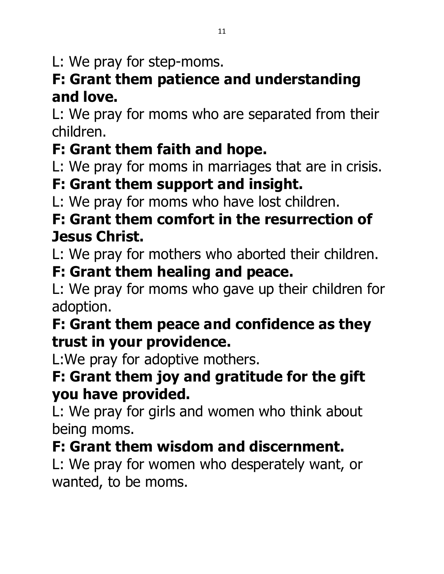L: We pray for step-moms.

### **F: Grant them patience and understanding and love.**

L: We pray for moms who are separated from their children.

# **F: Grant them faith and hope.**

L: We pray for moms in marriages that are in crisis.

## **F: Grant them support and insight.**

L: We pray for moms who have lost children.

### **F: Grant them comfort in the resurrection of Jesus Christ.**

L: We pray for mothers who aborted their children.

### **F: Grant them healing and peace.**

L: We pray for moms who gave up their children for adoption.

### **F: Grant them peace and confidence as they trust in your providence.**

L:We pray for adoptive mothers.

### **F: Grant them joy and gratitude for the gift you have provided.**

L: We pray for girls and women who think about being moms.

## **F: Grant them wisdom and discernment.**

L: We pray for women who desperately want, or wanted, to be moms.